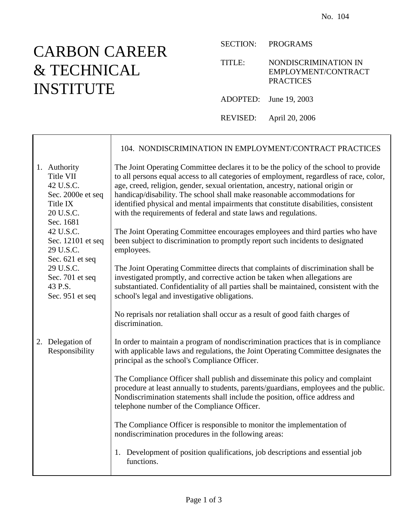## CARBON CAREER & TECHNICAL INSTITUTE

⊤

 $\Gamma$ 

SECTION: PROGRAMS

TITLE: NONDISCRIMINATION IN EMPLOYMENT/CONTRACT **PRACTICES** 

ADOPTED: June 19, 2003

REVISED: April 20, 2006

|  |                                                                                                   | 104. NONDISCRIMINATION IN EMPLOYMENT/CONTRACT PRACTICES                                                                                                                                                                                                                                                                                                                                                                                                                                                 |
|--|---------------------------------------------------------------------------------------------------|---------------------------------------------------------------------------------------------------------------------------------------------------------------------------------------------------------------------------------------------------------------------------------------------------------------------------------------------------------------------------------------------------------------------------------------------------------------------------------------------------------|
|  | 1. Authority<br>Title VII<br>42 U.S.C.<br>Sec. 2000e et seq<br>Title IX<br>20 U.S.C.<br>Sec. 1681 | The Joint Operating Committee declares it to be the policy of the school to provide<br>to all persons equal access to all categories of employment, regardless of race, color,<br>age, creed, religion, gender, sexual orientation, ancestry, national origin or<br>handicap/disability. The school shall make reasonable accommodations for<br>identified physical and mental impairments that constitute disabilities, consistent<br>with the requirements of federal and state laws and regulations. |
|  | 42 U.S.C.<br>Sec. 12101 et seq<br>29 U.S.C.<br>Sec. 621 et seq                                    | The Joint Operating Committee encourages employees and third parties who have<br>been subject to discrimination to promptly report such incidents to designated<br>employees.                                                                                                                                                                                                                                                                                                                           |
|  | 29 U.S.C.<br>Sec. 701 et seq<br>43 P.S.<br>Sec. 951 et seq                                        | The Joint Operating Committee directs that complaints of discrimination shall be<br>investigated promptly, and corrective action be taken when allegations are<br>substantiated. Confidentiality of all parties shall be maintained, consistent with the<br>school's legal and investigative obligations.                                                                                                                                                                                               |
|  |                                                                                                   | No reprisals nor retaliation shall occur as a result of good faith charges of<br>discrimination.                                                                                                                                                                                                                                                                                                                                                                                                        |
|  | 2. Delegation of<br>Responsibility                                                                | In order to maintain a program of nondiscrimination practices that is in compliance<br>with applicable laws and regulations, the Joint Operating Committee designates the<br>principal as the school's Compliance Officer.                                                                                                                                                                                                                                                                              |
|  |                                                                                                   | The Compliance Officer shall publish and disseminate this policy and complaint<br>procedure at least annually to students, parents/guardians, employees and the public.<br>Nondiscrimination statements shall include the position, office address and<br>telephone number of the Compliance Officer.                                                                                                                                                                                                   |
|  |                                                                                                   | The Compliance Officer is responsible to monitor the implementation of<br>nondiscrimination procedures in the following areas:                                                                                                                                                                                                                                                                                                                                                                          |
|  |                                                                                                   | 1. Development of position qualifications, job descriptions and essential job<br>functions.                                                                                                                                                                                                                                                                                                                                                                                                             |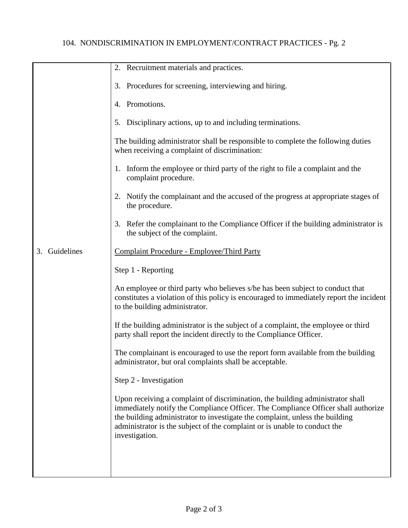## 104. NONDISCRIMINATION IN EMPLOYMENT/CONTRACT PRACTICES - Pg. 2

|                  | 2. Recruitment materials and practices.                                                                                                                                                                                                                                                                                                            |
|------------------|----------------------------------------------------------------------------------------------------------------------------------------------------------------------------------------------------------------------------------------------------------------------------------------------------------------------------------------------------|
|                  | 3. Procedures for screening, interviewing and hiring.                                                                                                                                                                                                                                                                                              |
|                  | 4. Promotions.                                                                                                                                                                                                                                                                                                                                     |
|                  | 5. Disciplinary actions, up to and including terminations.                                                                                                                                                                                                                                                                                         |
|                  | The building administrator shall be responsible to complete the following duties<br>when receiving a complaint of discrimination:                                                                                                                                                                                                                  |
|                  | 1. Inform the employee or third party of the right to file a complaint and the<br>complaint procedure.                                                                                                                                                                                                                                             |
|                  | 2. Notify the complainant and the accused of the progress at appropriate stages of<br>the procedure.                                                                                                                                                                                                                                               |
|                  | 3. Refer the complainant to the Compliance Officer if the building administrator is<br>the subject of the complaint.                                                                                                                                                                                                                               |
| Guidelines<br>3. | Complaint Procedure - Employee/Third Party                                                                                                                                                                                                                                                                                                         |
|                  | Step 1 - Reporting                                                                                                                                                                                                                                                                                                                                 |
|                  | An employee or third party who believes s/he has been subject to conduct that<br>constitutes a violation of this policy is encouraged to immediately report the incident<br>to the building administrator.                                                                                                                                         |
|                  | If the building administrator is the subject of a complaint, the employee or third<br>party shall report the incident directly to the Compliance Officer.                                                                                                                                                                                          |
|                  | The complainant is encouraged to use the report form available from the building<br>administrator, but oral complaints shall be acceptable.                                                                                                                                                                                                        |
|                  | Step 2 - Investigation                                                                                                                                                                                                                                                                                                                             |
|                  | Upon receiving a complaint of discrimination, the building administrator shall<br>immediately notify the Compliance Officer. The Compliance Officer shall authorize<br>the building administrator to investigate the complaint, unless the building<br>administrator is the subject of the complaint or is unable to conduct the<br>investigation. |
|                  |                                                                                                                                                                                                                                                                                                                                                    |
|                  |                                                                                                                                                                                                                                                                                                                                                    |